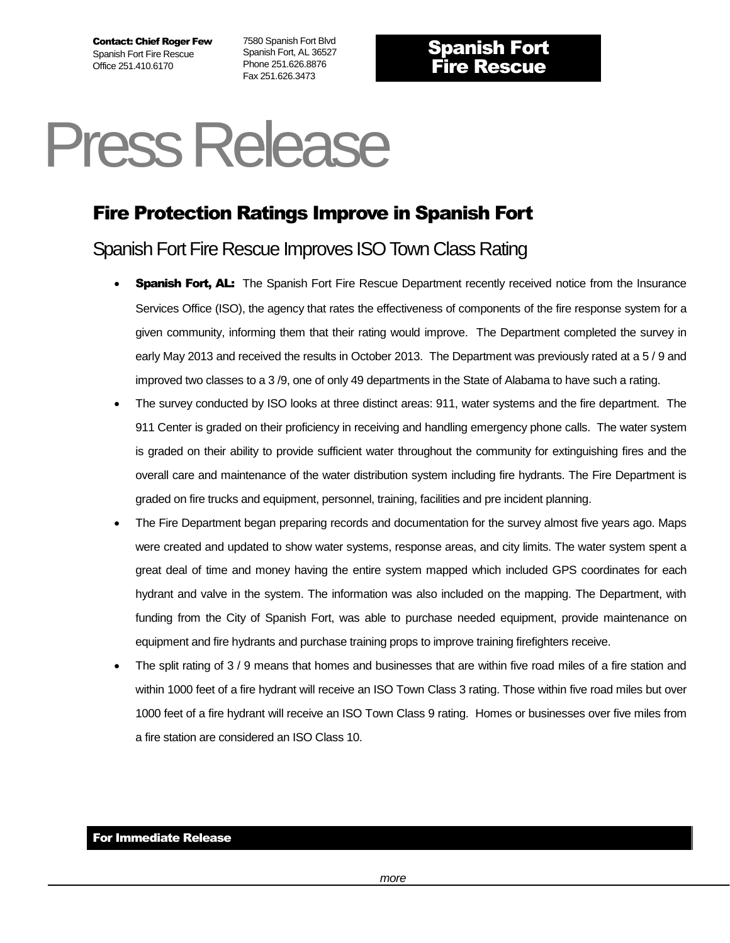Contact: Chief Roger Few Spanish Fort Fire Rescue Office 251.410.6170

7580 Spanish Fort Blvd Spanish Fort, AL 36527 Phone 251.626.8876 Fax 251.626.3473

## Press Release

## Fire Protection Ratings Improve in Spanish Fort

## Spanish Fort Fire Rescue Improves ISOTown Class Rating

- **Spanish Fort, AL:** The Spanish Fort Fire Rescue Department recently received notice from the Insurance Services Office (ISO), the agency that rates the effectiveness of components of the fire response system for a given community, informing them that their rating would improve. The Department completed the survey in early May 2013 and received the results in October 2013. The Department was previously rated at a 5 / 9 and improved two classes to a 3 /9, one of only 49 departments in the State of Alabama to have such a rating.
- The survey conducted by ISO looks at three distinct areas: 911, water systems and the fire department. The 911 Center is graded on their proficiency in receiving and handling emergency phone calls. The water system is graded on their ability to provide sufficient water throughout the community for extinguishing fires and the overall care and maintenance of the water distribution system including fire hydrants. The Fire Department is graded on fire trucks and equipment, personnel, training, facilities and pre incident planning.
- The Fire Department began preparing records and documentation for the survey almost five years ago. Maps were created and updated to show water systems, response areas, and city limits. The water system spent a great deal of time and money having the entire system mapped which included GPS coordinates for each hydrant and valve in the system. The information was also included on the mapping. The Department, with funding from the City of Spanish Fort, was able to purchase needed equipment, provide maintenance on equipment and fire hydrants and purchase training props to improve training firefighters receive.
- The split rating of 3 / 9 means that homes and businesses that are within five road miles of a fire station and within 1000 feet of a fire hydrant will receive an ISO Town Class 3 rating. Those within five road miles but over 1000 feet of a fire hydrant will receive an ISO Town Class 9 rating. Homes or businesses over five miles from a fire station are considered an ISO Class 10.

## For Immediate Release